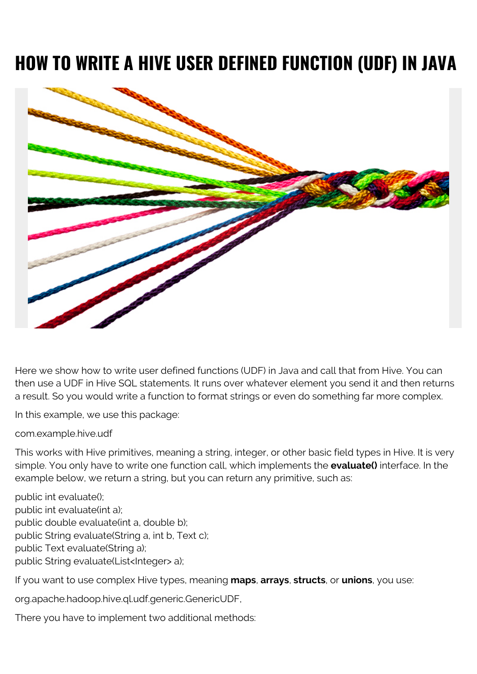## **HOW TO WRITE A HIVE USER DEFINED FUNCTION (UDF) IN JAVA**



Here we show how to write user defined functions (UDF) in Java and call that from Hive. You can then use a UDF in Hive SQL statements. It runs over whatever element you send it and then returns a result. So you would write a function to format strings or even do something far more complex.

In this example, we use this package:

com.example.hive.udf

This works with Hive primitives, meaning a string, integer, or other basic field types in Hive. It is very simple. You only have to write one function call, which implements the **evaluate()** interface. In the example below, we return a string, but you can return any primitive, such as:

public int evaluate(); public int evaluate(int a); public double evaluate(int a, double b); public String evaluate(String a, int b, Text c); public Text evaluate(String a); public String evaluate(List<Integer> a);

If you want to use complex Hive types, meaning **maps**, **arrays**, **structs**, or **unions**, you use:

org.apache.hadoop.hive.ql.udf.generic.GenericUDF,

There you have to implement two additional methods: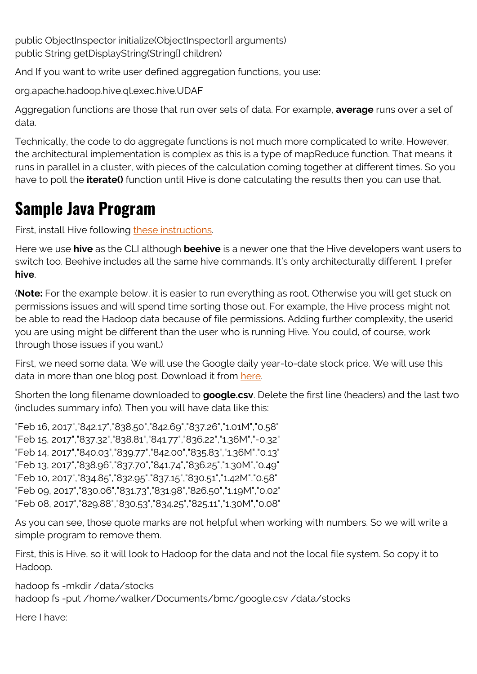public ObjectInspector initialize(ObjectInspector[] arguments) public String getDisplayString(String[] children)

And If you want to write user defined aggregation functions, you use:

org.apache.hadoop.hive.ql.exec.hive.UDAF

Aggregation functions are those that run over sets of data. For example, **average** runs over a set of data.

Technically, the code to do aggregate functions is not much more complicated to write. However, the architectural implementation is complex as this is a type of mapReduce function. That means it runs in parallel in a cluster, with pieces of the calculation coming together at different times. So you have to poll the **iterate()** function until Hive is done calculating the results then you can use that.

## **Sample Java Program**

First, install Hive following [these instructions](https://blogs.bmc.com/blogs/hadoop-hive/).

Here we use **hive** as the CLI although **beehive** is a newer one that the Hive developers want users to switch too. Beehive includes all the same hive commands. It's only architecturally different. I prefer **hive**.

(**Note:** For the example below, it is easier to run everything as root. Otherwise you will get stuck on permissions issues and will spend time sorting those out. For example, the Hive process might not be able to read the Hadoop data because of file permissions. Adding further complexity, the userid you are using might be different than the user who is running Hive. You could, of course, work through those issues if you want.)

First, we need some data. We will use the Google daily year-to-date stock price. We will use this data in more than one blog post. Download it from [here.](https://www.investing.com/equities/google-inc-historical-data)

Shorten the long filename downloaded to **google.csv**. Delete the first line (headers) and the last two (includes summary info). Then you will have data like this:

"Feb 16, 2017","842.17","838.50","842.69","837.26","1.01M","0.58" "Feb 15, 2017","837.32","838.81","841.77","836.22","1.36M","-0.32" "Feb 14, 2017","840.03","839.77","842.00","835.83","1.36M","0.13" "Feb 13, 2017","838.96","837.70","841.74","836.25","1.30M","0.49" "Feb 10, 2017","834.85","832.95","837.15","830.51","1.42M","0.58" "Feb 09, 2017","830.06","831.73","831.98","826.50","1.19M","0.02" "Feb 08, 2017","829.88","830.53","834.25","825.11","1.30M","0.08"

As you can see, those quote marks are not helpful when working with numbers. So we will write a simple program to remove them.

First, this is Hive, so it will look to Hadoop for the data and not the local file system. So copy it to Hadoop.

hadoop fs -mkdir /data/stocks hadoop fs -put /home/walker/Documents/bmc/google.csv /data/stocks

Here I have: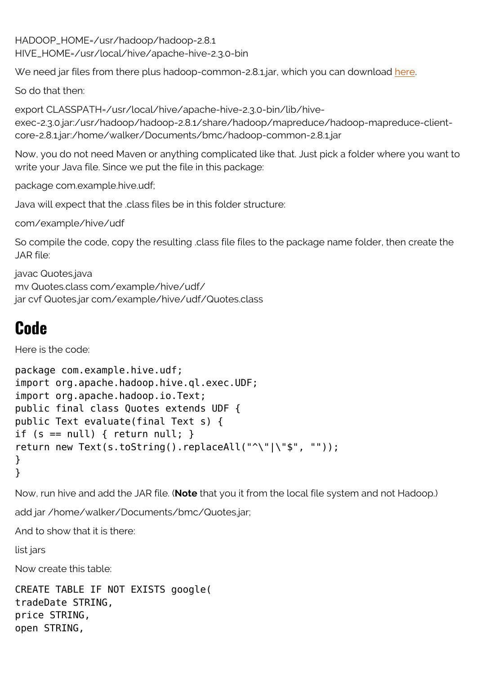HADOOP\_HOME=/usr/hadoop/hadoop-2.8.1 HIVE\_HOME=/usr/local/hive/apache-hive-2.3.0-bin

We need jar files from t[here](https://web.archive.org/web/20170830191305/https://mvnrepository.com/artifact/org.apache.hadoop/hadoop-common/2.8.1) plus hadoop-common-2.8.1.jar, which you can download here.

So do that then:

export CLASSPATH=/usr/local/hive/apache-hive-2.3.0-bin/lib/hiveexec-2.3.0.jar:/usr/hadoop/hadoop-2.8.1/share/hadoop/mapreduce/hadoop-mapreduce-clientcore-2.8.1.jar:/home/walker/Documents/bmc/hadoop-common-2.8.1.jar

Now, you do not need Maven or anything complicated like that. Just pick a folder where you want to write your Java file. Since we put the file in this package:

package com.example.hive.udf;

Java will expect that the .class files be in this folder structure:

com/example/hive/udf

So compile the code, copy the resulting .class file files to the package name folder, then create the JAR file:

```
javac Quotes.java
mv Quotes.class com/example/hive/udf/
jar cvf Quotes.jar com/example/hive/udf/Quotes.class
```
## **Code**

Here is the code:

```
package com.example.hive.udf;
import org.apache.hadoop.hive.ql.exec.UDF;
import org.apache.hadoop.io.Text;
public final class Quotes extends UDF {
public Text evaluate(final Text s) {
if (s == null) { return null; }
return new Text(s.toString().replaceAll("^\"|\"$", ""));
}
}
```
Now, run hive and add the JAR file. (**Note** that you it from the local file system and not Hadoop.)

add jar /home/walker/Documents/bmc/Quotes.jar;

And to show that it is there:

list jars

Now create this table:

```
CREATE TABLE IF NOT EXISTS google(
tradeDate STRING,
price STRING,
open STRING,
```